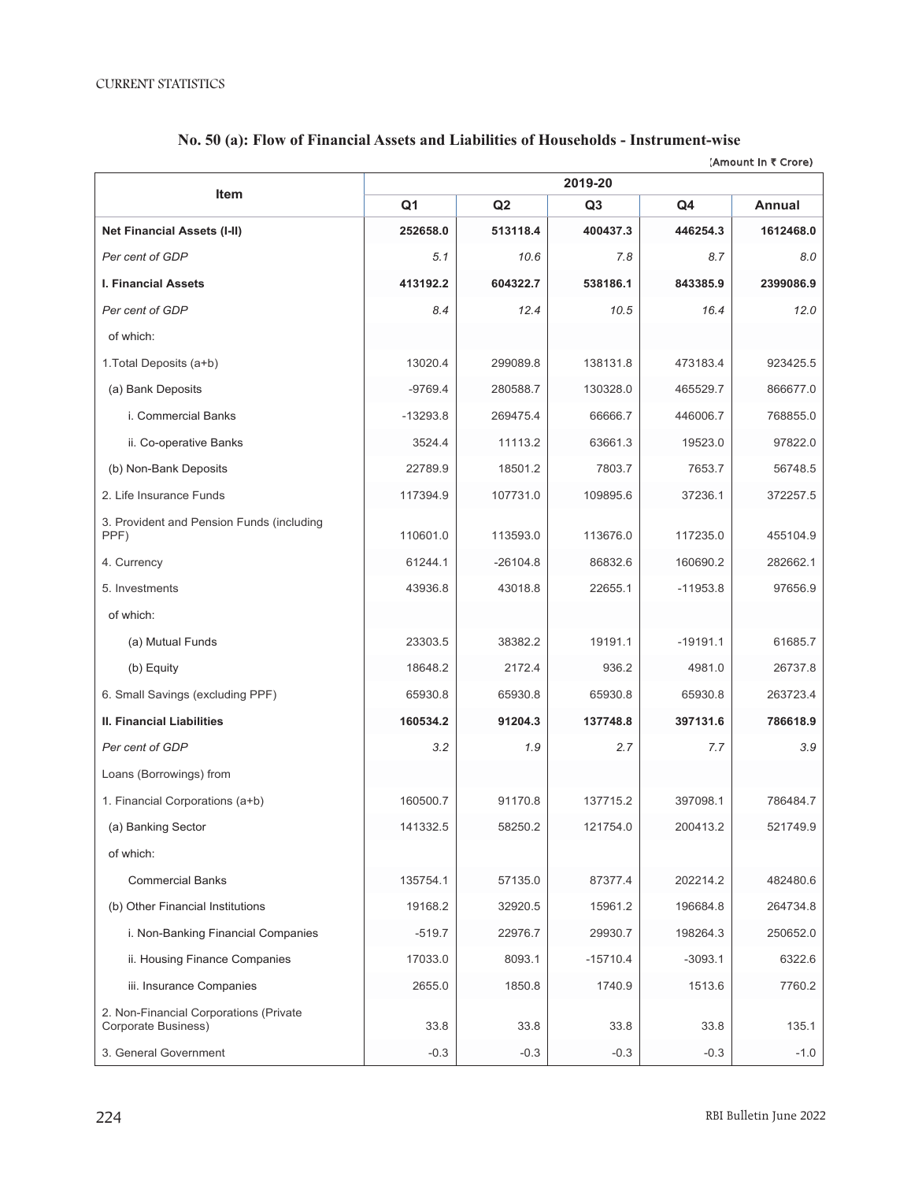|                                                               | (Amount in ₹ Crore)<br>2019-20 |            |                |            |               |  |
|---------------------------------------------------------------|--------------------------------|------------|----------------|------------|---------------|--|
| Item                                                          | Q1                             | Q2         | Q <sub>3</sub> | Q4         | <b>Annual</b> |  |
| <b>Net Financial Assets (I-II)</b>                            | 252658.0                       | 513118.4   | 400437.3       | 446254.3   | 1612468.0     |  |
| Per cent of GDP                                               | 5.1                            | 10.6       | 7.8            | 8.7        | 8.0           |  |
| <b>I. Financial Assets</b>                                    | 413192.2                       | 604322.7   | 538186.1       | 843385.9   | 2399086.9     |  |
| Per cent of GDP                                               | 8.4                            | 12.4       | 10.5           | 16.4       | 12.0          |  |
| of which:                                                     |                                |            |                |            |               |  |
| 1. Total Deposits (a+b)                                       | 13020.4                        | 299089.8   | 138131.8       | 473183.4   | 923425.5      |  |
| (a) Bank Deposits                                             | $-9769.4$                      | 280588.7   | 130328.0       | 465529.7   | 866677.0      |  |
| i. Commercial Banks                                           | $-13293.8$                     | 269475.4   | 66666.7        | 446006.7   | 768855.0      |  |
| ii. Co-operative Banks                                        | 3524.4                         | 11113.2    | 63661.3        | 19523.0    | 97822.0       |  |
| (b) Non-Bank Deposits                                         | 22789.9                        | 18501.2    | 7803.7         | 7653.7     | 56748.5       |  |
| 2. Life Insurance Funds                                       | 117394.9                       | 107731.0   | 109895.6       | 37236.1    | 372257.5      |  |
| 3. Provident and Pension Funds (including<br>PPF)             | 110601.0                       | 113593.0   | 113676.0       | 117235.0   | 455104.9      |  |
| 4. Currency                                                   | 61244.1                        | $-26104.8$ | 86832.6        | 160690.2   | 282662.1      |  |
| 5. Investments                                                | 43936.8                        | 43018.8    | 22655.1        | $-11953.8$ | 97656.9       |  |
| of which:                                                     |                                |            |                |            |               |  |
| (a) Mutual Funds                                              | 23303.5                        | 38382.2    | 19191.1        | $-19191.1$ | 61685.7       |  |
| (b) Equity                                                    | 18648.2                        | 2172.4     | 936.2          | 4981.0     | 26737.8       |  |
| 6. Small Savings (excluding PPF)                              | 65930.8                        | 65930.8    | 65930.8        | 65930.8    | 263723.4      |  |
| II. Financial Liabilities                                     | 160534.2                       | 91204.3    | 137748.8       | 397131.6   | 786618.9      |  |
| Per cent of GDP                                               | 3.2                            | 1.9        | 2.7            | 7.7        | 3.9           |  |
| Loans (Borrowings) from                                       |                                |            |                |            |               |  |
| 1. Financial Corporations (a+b)                               | 160500.7                       | 91170.8    | 137715.2       | 397098.1   | 786484.7      |  |
| (a) Banking Sector                                            | 141332.5                       | 58250.2    | 121754.0       | 200413.2   | 521749.9      |  |
| of which:                                                     |                                |            |                |            |               |  |
| <b>Commercial Banks</b>                                       | 135754.1                       | 57135.0    | 87377.4        | 202214.2   | 482480.6      |  |
| (b) Other Financial Institutions                              | 19168.2                        | 32920.5    | 15961.2        | 196684.8   | 264734.8      |  |
| i. Non-Banking Financial Companies                            | $-519.7$                       | 22976.7    | 29930.7        | 198264.3   | 250652.0      |  |
| ii. Housing Finance Companies                                 | 17033.0                        | 8093.1     | $-15710.4$     | $-3093.1$  | 6322.6        |  |
| iii. Insurance Companies                                      | 2655.0                         | 1850.8     | 1740.9         | 1513.6     | 7760.2        |  |
| 2. Non-Financial Corporations (Private<br>Corporate Business) | 33.8                           | 33.8       | 33.8           | 33.8       | 135.1         |  |
| 3. General Government                                         | $-0.3$                         | $-0.3$     | $-0.3$         | $-0.3$     | $-1.0$        |  |

## No. 50 (a): Flow of Financial Assets and Liabilities of Households - Instrument-wise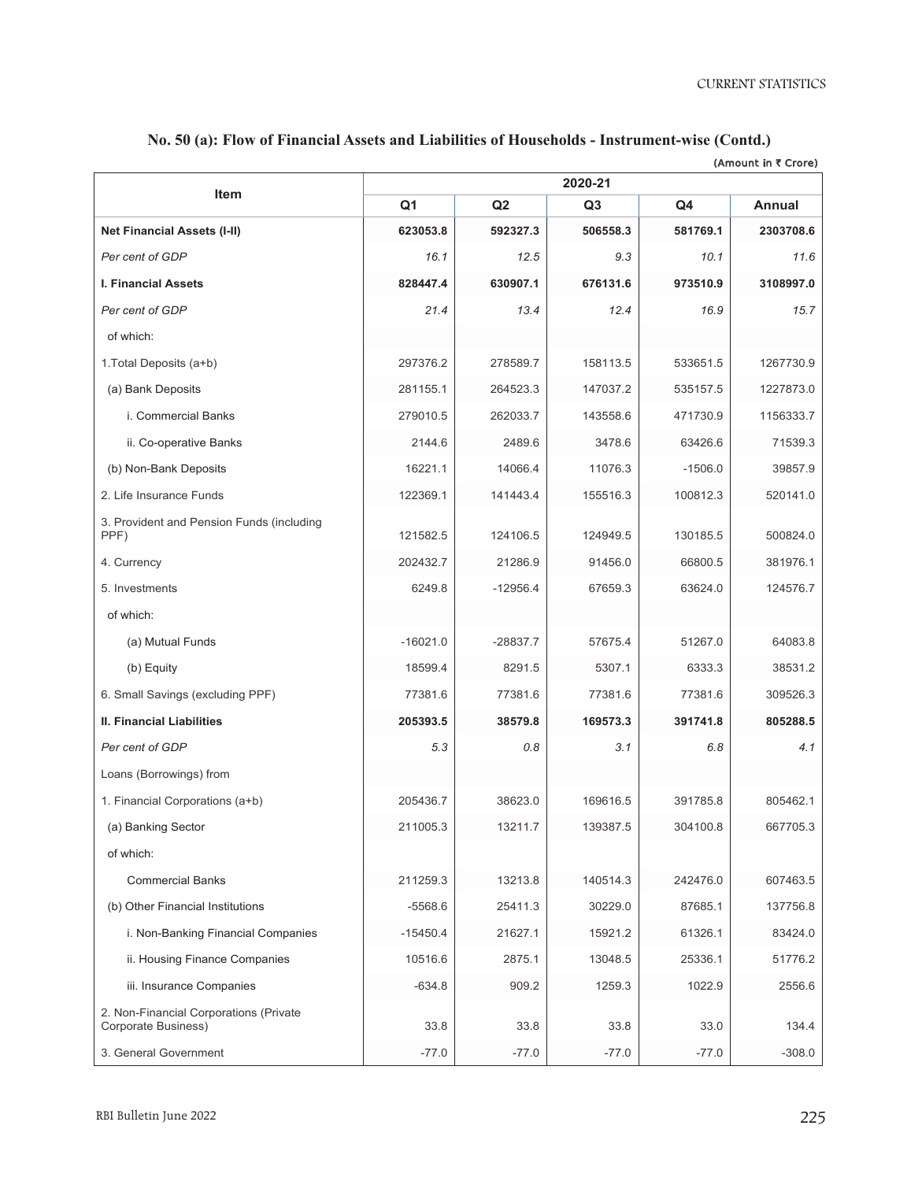CURRENT STATISTICS

|                                                               |                |            |                |           | (Amount in ₹ Crore) |
|---------------------------------------------------------------|----------------|------------|----------------|-----------|---------------------|
| <b>Item</b>                                                   |                |            | 2020-21        |           |                     |
|                                                               | Q <sub>1</sub> | Q2         | Q <sub>3</sub> | Q4        | <b>Annual</b>       |
| <b>Net Financial Assets (I-II)</b>                            | 623053.8       | 592327.3   | 506558.3       | 581769.1  | 2303708.6           |
| Per cent of GDP                                               | 16.1           | 12.5       | 9.3            | 10.1      | 11.6                |
| <b>I. Financial Assets</b>                                    | 828447.4       | 630907.1   | 676131.6       | 973510.9  | 3108997.0           |
| Per cent of GDP                                               | 21.4           | 13.4       | 12.4           | 16.9      | 15.7                |
| of which:                                                     |                |            |                |           |                     |
| 1. Total Deposits (a+b)                                       | 297376.2       | 278589.7   | 158113.5       | 533651.5  | 1267730.9           |
| (a) Bank Deposits                                             | 281155.1       | 264523.3   | 147037.2       | 535157.5  | 1227873.0           |
| i. Commercial Banks                                           | 279010.5       | 262033.7   | 143558.6       | 471730.9  | 1156333.7           |
| ii. Co-operative Banks                                        | 2144.6         | 2489.6     | 3478.6         | 63426.6   | 71539.3             |
| (b) Non-Bank Deposits                                         | 16221.1        | 14066.4    | 11076.3        | $-1506.0$ | 39857.9             |
| 2. Life Insurance Funds                                       | 122369.1       | 141443.4   | 155516.3       | 100812.3  | 520141.0            |
| 3. Provident and Pension Funds (including<br>PPF)             | 121582.5       | 124106.5   | 124949.5       | 130185.5  | 500824.0            |
| 4. Currency                                                   | 202432.7       | 21286.9    | 91456.0        | 66800.5   | 381976.1            |
| 5. Investments                                                | 6249.8         | $-12956.4$ | 67659.3        | 63624.0   | 124576.7            |
| of which:                                                     |                |            |                |           |                     |
| (a) Mutual Funds                                              | $-16021.0$     | $-28837.7$ | 57675.4        | 51267.0   | 64083.8             |
| (b) Equity                                                    | 18599.4        | 8291.5     | 5307.1         | 6333.3    | 38531.2             |
| 6. Small Savings (excluding PPF)                              | 77381.6        | 77381.6    | 77381.6        | 77381.6   | 309526.3            |
| II. Financial Liabilities                                     | 205393.5       | 38579.8    | 169573.3       | 391741.8  | 805288.5            |
| Per cent of GDP                                               | 5.3            | 0.8        | 3.1            | 6.8       | 4.1                 |
| Loans (Borrowings) from                                       |                |            |                |           |                     |
| 1. Financial Corporations (a+b)                               | 205436.7       | 38623.0    | 169616.5       | 391785.8  | 805462.1            |
| (a) Banking Sector                                            | 211005.3       | 13211.7    | 139387.5       | 304100.8  | 667705.3            |
| of which:                                                     |                |            |                |           |                     |
| <b>Commercial Banks</b>                                       | 211259.3       | 13213.8    | 140514.3       | 242476.0  | 607463.5            |
| (b) Other Financial Institutions                              | $-5568.6$      | 25411.3    | 30229.0        | 87685.1   | 137756.8            |
| i. Non-Banking Financial Companies                            | $-15450.4$     | 21627.1    | 15921.2        | 61326.1   | 83424.0             |
| ii. Housing Finance Companies                                 | 10516.6        | 2875.1     | 13048.5        | 25336.1   | 51776.2             |
| iii. Insurance Companies                                      | $-634.8$       | 909.2      | 1259.3         | 1022.9    | 2556.6              |
| 2. Non-Financial Corporations (Private<br>Corporate Business) | 33.8           | 33.8       | 33.8           | 33.0      | 134.4               |
| 3. General Government                                         | $-77.0$        | $-77.0$    | $-77.0$        | $-77.0$   | $-308.0$            |

## No. 50 (a): Flow of Financial Assets and Liabilities of Households - Instrument-wise (Contd.)